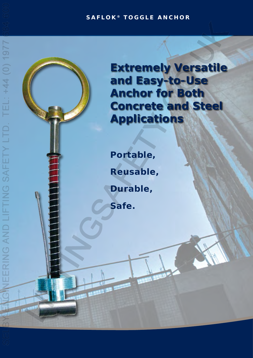## **SAFLOK ® TOGGLE ANCHOR**

**Extremely Versatile and Easy-to-Use Anchor for Both Concrete and Steel Applications**

**Portable, Reusable, Durable, Safe.** 

**图 图 19**